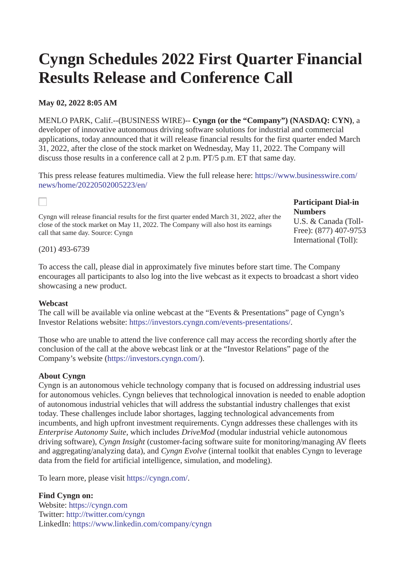# **Cyngn Schedules 2022 First Quarter Financial Results Release and Conference Call**

## **May 02, 2022 8:05 AM**

MENLO PARK, Calif.--(BUSINESS WIRE)-- **Cyngn (or the "Company") (NASDAQ: CYN)**, a developer of innovative autonomous driving software solutions for industrial and commercial applications, today announced that it will release financial results for the first quarter ended March 31, 2022, after the close of the stock market on Wednesday, May 11, 2022. The Company will discuss those results in a conference call at 2 p.m. PT/5 p.m. ET that same day.

[This press release features multimedia. View the full release here: https://www.businesswire.com/](https://www.businesswire.com/news/home/20220502005223/en/) news/home/20220502005223/en/

Cyngn will release financial results for the first quarter ended March 31, 2022, after the close of the stock market on May 11, 2022. The Company will also host its earnings call that same day. Source: Cyngn

### **Participant Dial-in Numbers**

U.S. & Canada (Toll-Free): (877) 407-9753 International (Toll):

#### (201) 493-6739

To access the call, please dial in approximately five minutes before start time. The Company encourages all participants to also log into the live webcast as it expects to broadcast a short video showcasing a new product.

#### **Webcast**

The call will be available via online webcast at the "Events & Presentations" page of Cyngn's Investor Relations website: [https://investors.cyngn.com/events-presentations/](https://cts.businesswire.com/ct/CT?id=smartlink&url=https%3A%2F%2Finvestors.cyngn.com%2Fevents-presentations%2F&esheet=52703038&newsitemid=20220502005223&lan=en-US&anchor=https%3A%2F%2Finvestors.cyngn.com%2Fevents-presentations%2F&index=1&md5=8386a7b4027095be2d5e3e49e7f4f0a7).

Those who are unable to attend the live conference call may access the recording shortly after the conclusion of the call at the above webcast link or at the "Investor Relations" page of the Company's website ([https://investors.cyngn.com/\)](https://cts.businesswire.com/ct/CT?id=smartlink&url=https%3A%2F%2Finvestors.cyngn.com%2F%3Futm_campaign%3DPress%2520Releases%26utm_source%3Dpress%26utm_medium%3D3-14-2022-earnings%26utm_term%3Dinvestors.cyngn&esheet=52703038&newsitemid=20220502005223&lan=en-US&anchor=https%3A%2F%2Finvestors.cyngn.com%2F&index=2&md5=f01bfaacf10888e7dff85c87c18f796f).

#### **About Cyngn**

Cyngn is an autonomous vehicle technology company that is focused on addressing industrial uses for autonomous vehicles. Cyngn believes that technological innovation is needed to enable adoption of autonomous industrial vehicles that will address the substantial industry challenges that exist today. These challenges include labor shortages, lagging technological advancements from incumbents, and high upfront investment requirements. Cyngn addresses these challenges with its *Enterprise Autonomy Suite*, which includes *DriveMod* (modular industrial vehicle autonomous driving software), *Cyngn Insight* (customer-facing software suite for monitoring/managing AV fleets and aggregating/analyzing data), and *Cyngn Evolve* (internal toolkit that enables Cyngn to leverage data from the field for artificial intelligence, simulation, and modeling).

To learn more, please visit [https://cyngn.com/.](https://cts.businesswire.com/ct/CT?id=smartlink&url=https%3A%2F%2Fcyngn.com%2F&esheet=52703038&newsitemid=20220502005223&lan=en-US&anchor=https%3A%2F%2Fcyngn.com%2F&index=3&md5=81800ea6cf40737821c07dbcd7d322bd)

**Find Cyngn on:**  Website: [https://cyngn.com](https://cts.businesswire.com/ct/CT?id=smartlink&url=https%3A%2F%2Fcyngn.com&esheet=52703038&newsitemid=20220502005223&lan=en-US&anchor=https%3A%2F%2Fcyngn.com&index=4&md5=115e500e8800997475676a02cb50c435)  Twitter: [http://twitter.com/cyngn](https://cts.businesswire.com/ct/CT?id=smartlink&url=http%3A%2F%2Ftwitter.com%2Fcyngn&esheet=52703038&newsitemid=20220502005223&lan=en-US&anchor=http%3A%2F%2Ftwitter.com%2Fcyngn&index=5&md5=8d09d0f32ab1f7285883f859a80e9d11)  LinkedIn: [https://www.linkedin.com/company/cyngn](https://cts.businesswire.com/ct/CT?id=smartlink&url=https%3A%2F%2Fwww.linkedin.com%2Fcompany%2Fcyngn&esheet=52703038&newsitemid=20220502005223&lan=en-US&anchor=https%3A%2F%2Fwww.linkedin.com%2Fcompany%2Fcyngn&index=6&md5=703c7e3bc860fe81b2ef61f039feaa46)